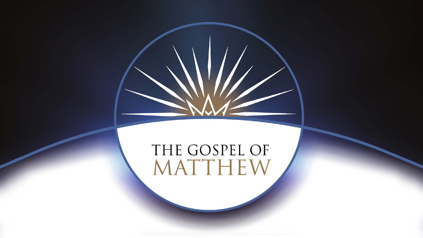# THE GOSPEL OF<br>MATTHEW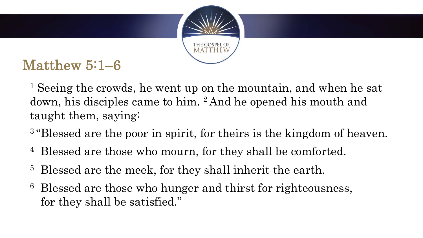

- <sup>1</sup> Seeing the crowds, he went up on the mountain, and when he sat down, his disciples came to him. 2 And he opened his mouth and taught them, saying:
- <sup>3</sup> "Blessed are the poor in spirit, for theirs is the kingdom of heaven.
- <sup>4</sup> Blessed are those who mourn, for they shall be comforted.
- <sup>5</sup> Blessed are the meek, for they shall inherit the earth.
- <sup>6</sup> Blessed are those who hunger and thirst for righteousness, for they shall be satisfied."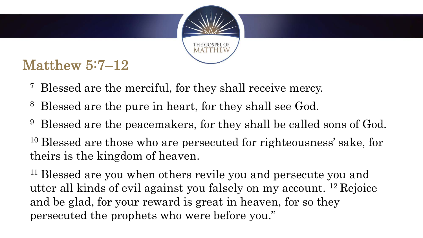

- <sup>7</sup> Blessed are the merciful, for they shall receive mercy.
- <sup>8</sup> Blessed are the pure in heart, for they shall see God.
- <sup>9</sup> Blessed are the peacemakers, for they shall be called sons of God.
- <sup>10</sup> Blessed are those who are persecuted for righteousness' sake, for theirs is the kingdom of heaven.

<sup>11</sup> Blessed are you when others revile you and persecute you and utter all kinds of evil against you falsely on my account. 12 Rejoice and be glad, for your reward is great in heaven, for so they persecuted the prophets who were before you."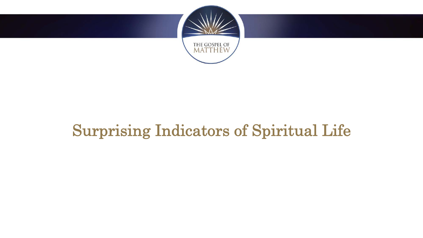

### Surprising Indicators of Spiritual Life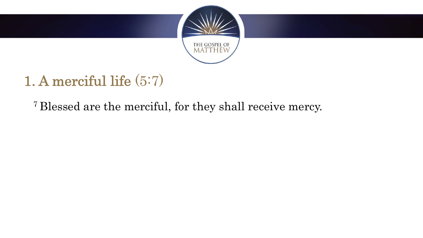

<sup>7</sup> Blessed are the merciful, for they shall receive mercy.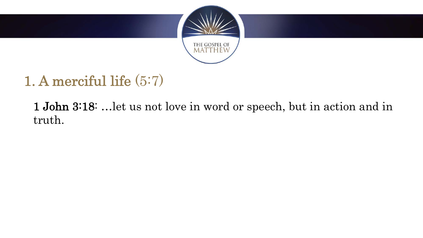

1 John 3:18: …let us not love in word or speech, but in action and in truth.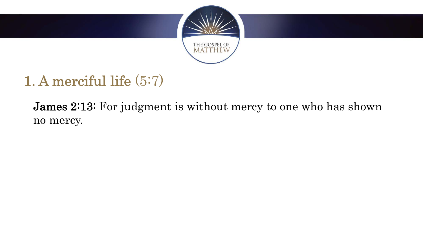

**James 2:13:** For judgment is without mercy to one who has shown no mercy.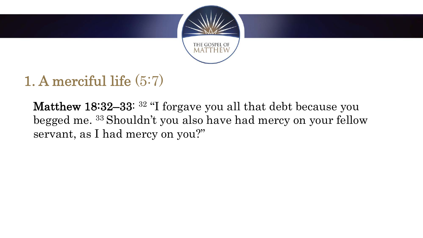

Matthew 18:32–33: <sup>32</sup> "I forgave you all that debt because you begged me. 33 Shouldn't you also have had mercy on your fellow servant, as I had mercy on you?"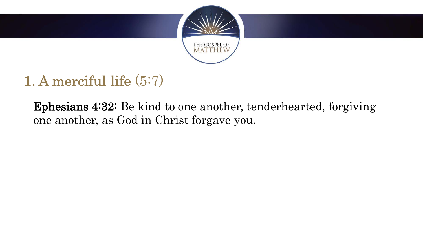

Ephesians 4:32: Be kind to one another, tenderhearted, forgiving one another, as God in Christ forgave you.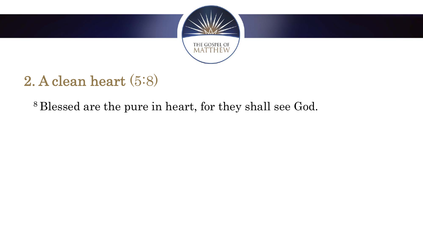

#### <sup>8</sup> Blessed are the pure in heart, for they shall see God.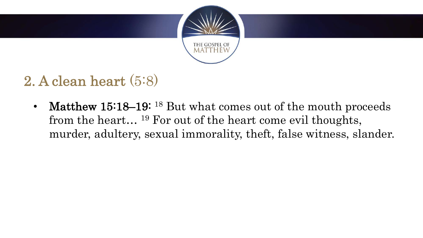

Matthew 15:18–19: <sup>18</sup> But what comes out of the mouth proceeds from the heart… 19 For out of the heart come evil thoughts, murder, adultery, sexual immorality, theft, false witness, slander.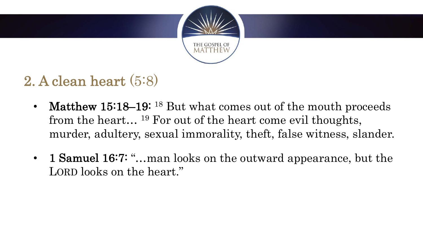

- Matthew 15:18–19: <sup>18</sup> But what comes out of the mouth proceeds from the heart… 19 For out of the heart come evil thoughts, murder, adultery, sexual immorality, theft, false witness, slander.
- 1 **Samuel 16:7: "...** man looks on the outward appearance, but the LORD looks on the heart."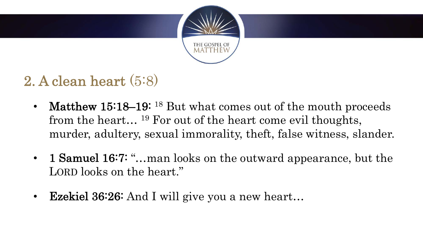

- Matthew 15:18–19: <sup>18</sup> But what comes out of the mouth proceeds from the heart… 19 For out of the heart come evil thoughts, murder, adultery, sexual immorality, theft, false witness, slander.
- 1 **Samuel 16:7: "...** man looks on the outward appearance, but the LORD looks on the heart."
- Ezekiel 36:26: And I will give you a new heart...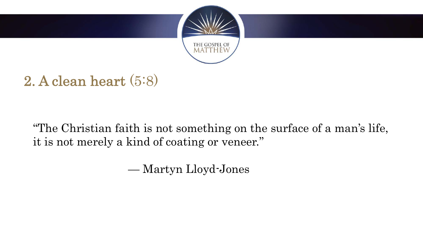

"The Christian faith is not something on the surface of a man's life, it is not merely a kind of coating or veneer."

— Martyn Lloyd-Jones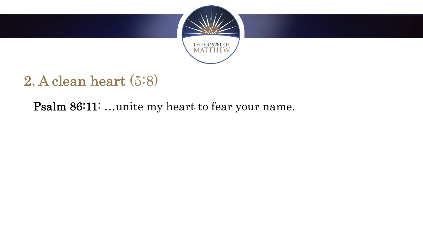

Psalm 86:11: …unite my heart to fear your name.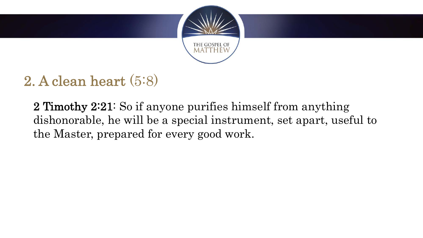

2 Timothy 2:21: So if anyone purifies himself from anything dishonorable, he will be a special instrument, set apart, useful to the Master, prepared for every good work.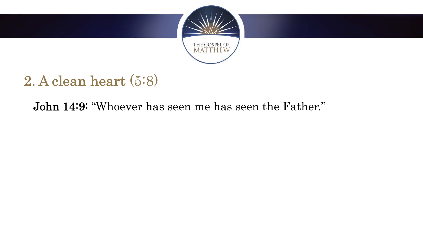

John 14:9: "Whoever has seen me has seen the Father."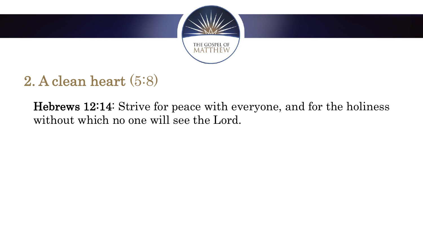

Hebrews 12:14: Strive for peace with everyone, and for the holiness without which no one will see the Lord.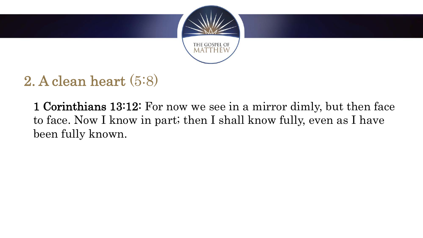

1 Corinthians 13:12: For now we see in a mirror dimly, but then face to face. Now I know in part; then I shall know fully, even as I have been fully known.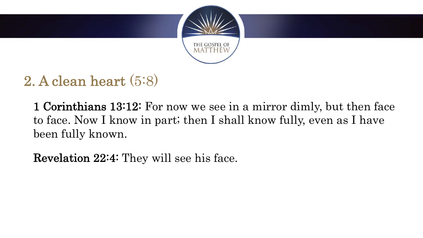

1 Corinthians 13:12: For now we see in a mirror dimly, but then face to face. Now I know in part; then I shall know fully, even as I have been fully known.

Revelation 22:4: They will see his face.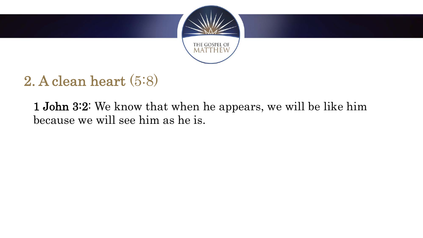

1 John 3:2: We know that when he appears, we will be like him because we will see him as he is.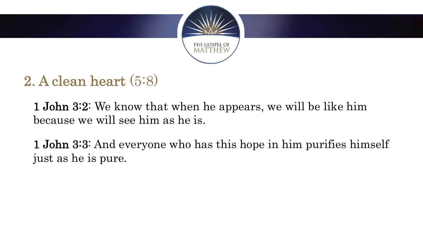

1 John 3:2: We know that when he appears, we will be like him because we will see him as he is.

1 John 3:3: And everyone who has this hope in him purifies himself just as he is pure.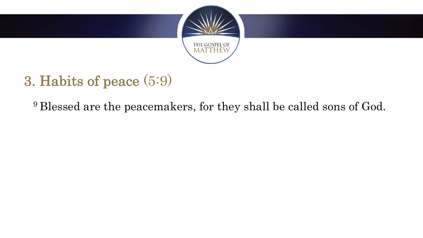

<sup>9</sup> Blessed are the peacemakers, for they shall be called sons of God.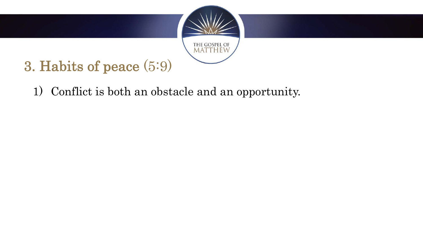

1) Conflict is both an obstacle and an opportunity.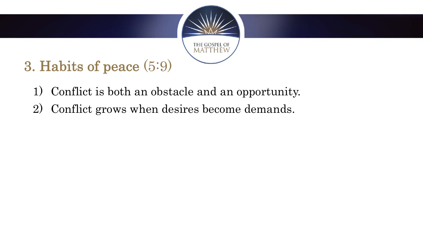

- 1) Conflict is both an obstacle and an opportunity.
- 2) Conflict grows when desires become demands.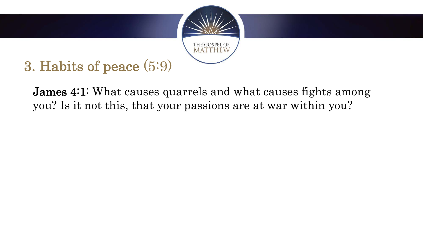

**James 4:1:** What causes quarrels and what causes fights among you? Is it not this, that your passions are at war within you?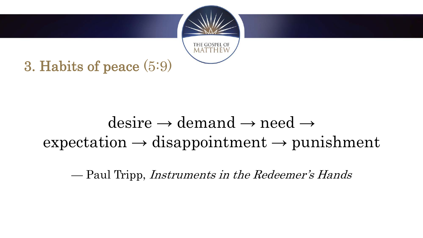

## $desire \rightarrow demand \rightarrow need \rightarrow$  $expectation \rightarrow disappointment \rightarrow punishment$

— Paul Tripp, Instruments in the Redeemer's Hands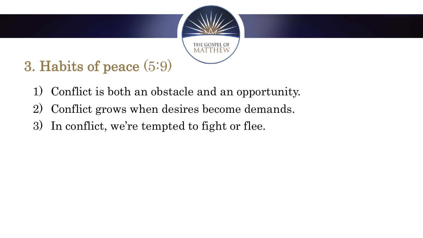

- 1) Conflict is both an obstacle and an opportunity.
- 2) Conflict grows when desires become demands.
- 3) In conflict, we're tempted to fight or flee.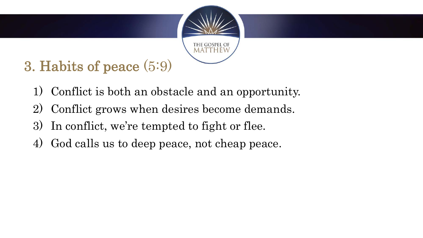

- 1) Conflict is both an obstacle and an opportunity.
- 2) Conflict grows when desires become demands.
- 3) In conflict, we're tempted to fight or flee.
- 4) God calls us to deep peace, not cheap peace.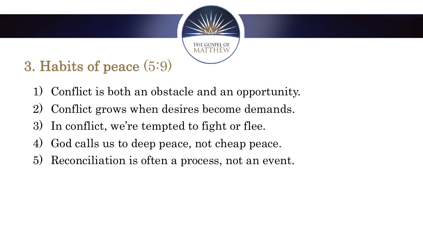

- 1) Conflict is both an obstacle and an opportunity.
- 2) Conflict grows when desires become demands.
- 3) In conflict, we're tempted to fight or flee.
- 4) God calls us to deep peace, not cheap peace.
- 5) Reconciliation is often a process, not an event.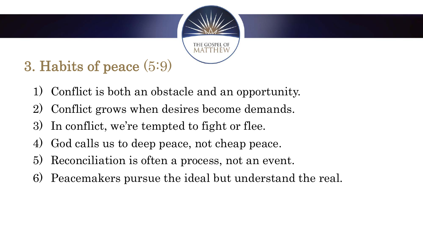

- 1) Conflict is both an obstacle and an opportunity.
- 2) Conflict grows when desires become demands.
- 3) In conflict, we're tempted to fight or flee.
- 4) God calls us to deep peace, not cheap peace.
- 5) Reconciliation is often a process, not an event.
- 6) Peacemakers pursue the ideal but understand the real.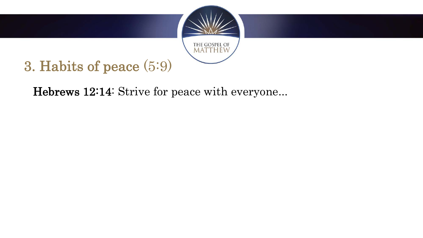

Hebrews 12:14: Strive for peace with everyone...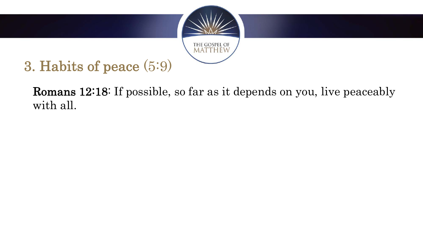

Romans 12:18: If possible, so far as it depends on you, live peaceably with all.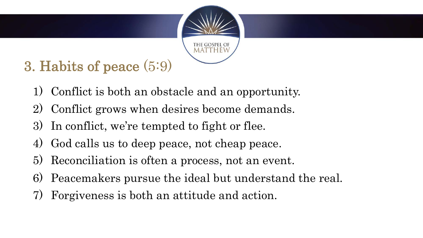

- 1) Conflict is both an obstacle and an opportunity.
- 2) Conflict grows when desires become demands.
- 3) In conflict, we're tempted to fight or flee.
- 4) God calls us to deep peace, not cheap peace.
- 5) Reconciliation is often a process, not an event.
- 6) Peacemakers pursue the ideal but understand the real.
- 7) Forgiveness is both an attitude and action.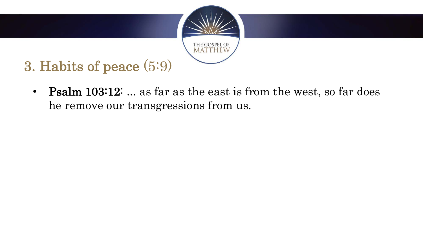

• Psalm 103:12: ... as far as the east is from the west, so far does he remove our transgressions from us.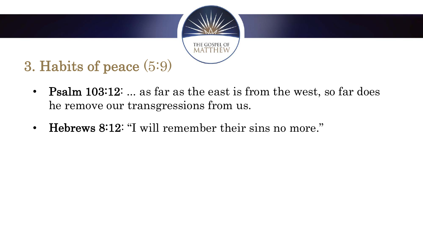

- Psalm 103:12: ... as far as the east is from the west, so far does he remove our transgressions from us.
- Hebrews 8:12: "I will remember their sins no more."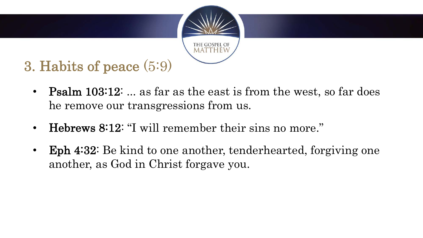

- Psalm 103:12: ... as far as the east is from the west, so far does he remove our transgressions from us.
- Hebrews 8:12: "I will remember their sins no more."
- Eph 4:32: Be kind to one another, tenderhearted, forgiving one another, as God in Christ forgave you.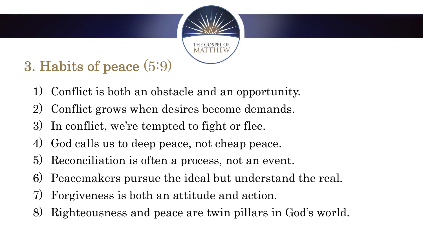

- 1) Conflict is both an obstacle and an opportunity.
- 2) Conflict grows when desires become demands.
- 3) In conflict, we're tempted to fight or flee.
- 4) God calls us to deep peace, not cheap peace.
- 5) Reconciliation is often a process, not an event.
- 6) Peacemakers pursue the ideal but understand the real.
- 7) Forgiveness is both an attitude and action.
- 8) Righteousness and peace are twin pillars in God's world.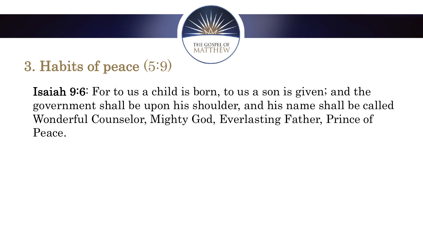

Isaiah 9:6: For to us a child is born, to us a son is given; and the government shall be upon his shoulder, and his name shall be called Wonderful Counselor, Mighty God, Everlasting Father, Prince of Peace.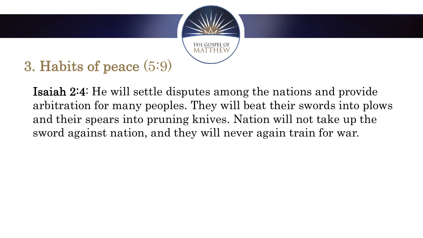

Isaiah 2:4: He will settle disputes among the nations and provide arbitration for many peoples. They will beat their swords into plows and their spears into pruning knives. Nation will not take up the sword against nation, and they will never again train for war.